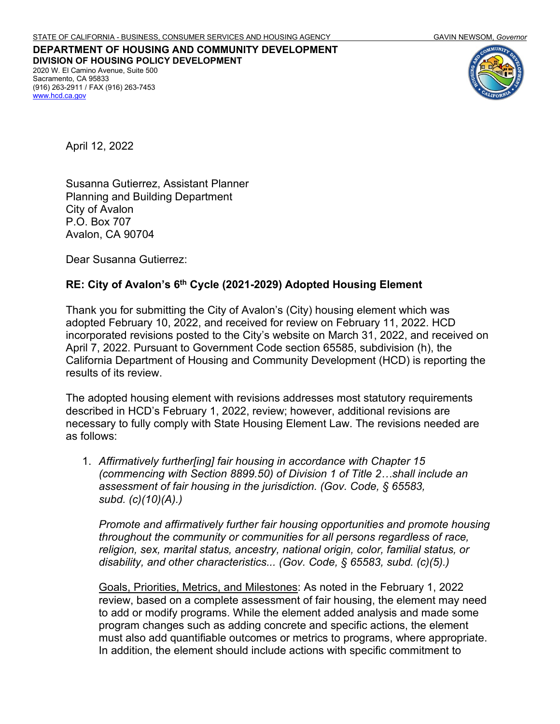**DEPARTMENT OF HOUSING AND COMMUNITY DEVELOPMENT DIVISION OF HOUSING POLICY DEVELOPMENT** 2020 W. El Camino Avenue, Suite 500 Sacramento, CA 95833 (916) 263-2911 / FAX (916) 263-7453 [www.hcd.ca.gov](http://www.hcd.ca.gov/)



April 12, 2022

Susanna Gutierrez, Assistant Planner Planning and Building Department City of Avalon P.O. Box 707 Avalon, CA 90704

Dear Susanna Gutierrez:

## **RE: City of Avalon's 6th Cycle (2021-2029) Adopted Housing Element**

Thank you for submitting the City of Avalon's (City) housing element which was adopted February 10, 2022, and received for review on February 11, 2022. HCD incorporated revisions posted to the City's website on March 31, 2022, and received on April 7, 2022. Pursuant to Government Code section 65585, subdivision (h), the California Department of Housing and Community Development (HCD) is reporting the results of its review.

The adopted housing element with revisions addresses most statutory requirements described in HCD's February 1, 2022, review; however, additional revisions are necessary to fully comply with State Housing Element Law. The revisions needed are as follows:

1. *Affirmatively further[ing] fair housing in accordance with Chapter 15 (commencing with Section 8899.50) of Division 1 of Title 2…shall include an assessment of fair housing in the jurisdiction. (Gov. Code, § 65583, subd. (c)(10)(A).)*

*Promote and affirmatively further fair housing opportunities and promote housing throughout the community or communities for all persons regardless of race, religion, sex, marital status, ancestry, national origin, color, familial status, or disability, and other characteristics... (Gov. Code, § 65583, subd. (c)(5).)* 

Goals, Priorities, Metrics, and Milestones: As noted in the February 1, 2022 review, based on a complete assessment of fair housing, the element may need to add or modify programs. While the element added analysis and made some program changes such as adding concrete and specific actions, the element must also add quantifiable outcomes or metrics to programs, where appropriate. In addition, the element should include actions with specific commitment to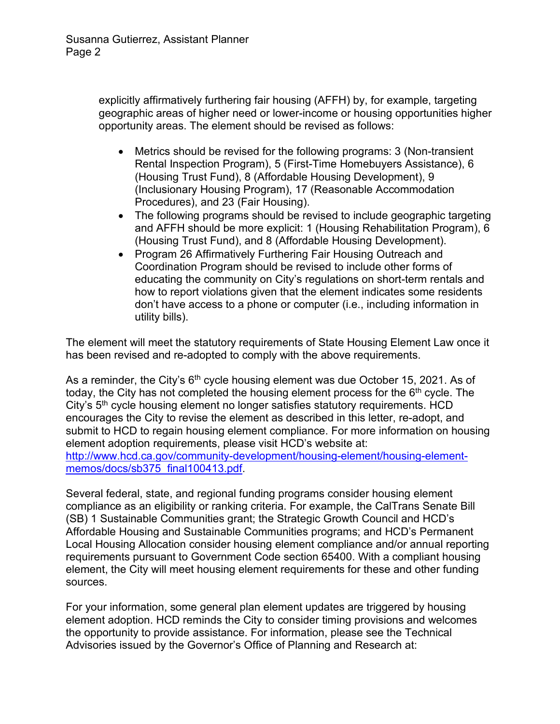explicitly affirmatively furthering fair housing (AFFH) by, for example, targeting geographic areas of higher need or lower-income or housing opportunities higher opportunity areas. The element should be revised as follows:

- Metrics should be revised for the following programs: 3 (Non-transient Rental Inspection Program), 5 (First-Time Homebuyers Assistance), 6 (Housing Trust Fund), 8 (Affordable Housing Development), 9 (Inclusionary Housing Program), 17 (Reasonable Accommodation Procedures), and 23 (Fair Housing).
- The following programs should be revised to include geographic targeting and AFFH should be more explicit: 1 (Housing Rehabilitation Program), 6 (Housing Trust Fund), and 8 (Affordable Housing Development).
- Program 26 Affirmatively Furthering Fair Housing Outreach and Coordination Program should be revised to include other forms of educating the community on City's regulations on short-term rentals and how to report violations given that the element indicates some residents don't have access to a phone or computer (i.e., including information in utility bills).

The element will meet the statutory requirements of State Housing Element Law once it has been revised and re-adopted to comply with the above requirements.

As a reminder, the City's  $6<sup>th</sup>$  cycle housing element was due October 15, 2021. As of today, the City has not completed the housing element process for the  $6<sup>th</sup>$  cycle. The City's 5<sup>th</sup> cycle housing element no longer satisfies statutory requirements. HCD encourages the City to revise the element as described in this letter, re-adopt, and submit to HCD to regain housing element compliance. For more information on housing element adoption requirements, please visit HCD's website at: [http://www.hcd.ca.gov/community-development/housing-element/housing-element](http://www.hcd.ca.gov/community-development/housing-element/housing-element-memos/docs/sb375_final100413.pdf)[memos/docs/sb375\\_final100413.pdf.](http://www.hcd.ca.gov/community-development/housing-element/housing-element-memos/docs/sb375_final100413.pdf)

Several federal, state, and regional funding programs consider housing element compliance as an eligibility or ranking criteria. For example, the CalTrans Senate Bill (SB) 1 Sustainable Communities grant; the Strategic Growth Council and HCD's Affordable Housing and Sustainable Communities programs; and HCD's Permanent Local Housing Allocation consider housing element compliance and/or annual reporting requirements pursuant to Government Code section 65400. With a compliant housing element, the City will meet housing element requirements for these and other funding sources.

For your information, some general plan element updates are triggered by housing element adoption. HCD reminds the City to consider timing provisions and welcomes the opportunity to provide assistance. For information, please see the Technical Advisories issued by the Governor's Office of Planning and Research at: